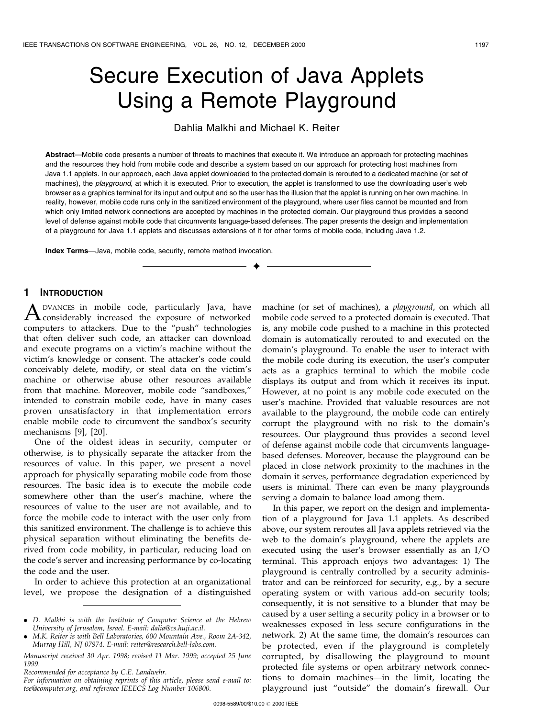# Secure Execution of Java Applets Using a Remote Playground

Dahlia Malkhi and Michael K. Reiter

Abstract—Mobile code presents a number of threats to machines that execute it. We introduce an approach for protecting machines and the resources they hold from mobile code and describe a system based on our approach for protecting host machines from Java 1.1 applets. In our approach, each Java applet downloaded to the protected domain is rerouted to a dedicated machine (or set of machines), the playground, at which it is executed. Prior to execution, the applet is transformed to use the downloading user's web browser as a graphics terminal for its input and output and so the user has the illusion that the applet is running on her own machine. In reality, however, mobile code runs only in the sanitized environment of the playground, where user files cannot be mounted and from which only limited network connections are accepted by machines in the protected domain. Our playground thus provides a second level of defense against mobile code that circumvents language-based defenses. The paper presents the design and implementation of a playground for Java 1.1 applets and discusses extensions of it for other forms of mobile code, including Java 1.2.

æ

Index Terms-Java, mobile code, security, remote method invocation.

#### 1 INTRODUCTION

A DVANCES in mobile code, particularly Java, have<br>considerably increased the exposure of networked computers to attackers. Due to the "push" technologies that often deliver such code, an attacker can download and execute programs on a victim's machine without the victim's knowledge or consent. The attacker's code could conceivably delete, modify, or steal data on the victim's machine or otherwise abuse other resources available from that machine. Moreover, mobile code "sandboxes," intended to constrain mobile code, have in many cases proven unsatisfactory in that implementation errors enable mobile code to circumvent the sandbox's security mechanisms [9], [20].

One of the oldest ideas in security, computer or otherwise, is to physically separate the attacker from the resources of value. In this paper, we present a novel approach for physically separating mobile code from those resources. The basic idea is to execute the mobile code somewhere other than the user's machine, where the resources of value to the user are not available, and to force the mobile code to interact with the user only from this sanitized environment. The challenge is to achieve this physical separation without eliminating the benefits derived from code mobility, in particular, reducing load on the code's server and increasing performance by co-locating the code and the user.

In order to achieve this protection at an organizational level, we propose the designation of a distinguished

- . D. Malkhi is with the Institute of Computer Science at the Hebrew University of Jerusalem, Israel. E-mail: dalia@cs.huji.ac.il.
- . M.K. Reiter is with Bell Laboratories, 600 Mountain Ave., Room 2A-342, Murray Hill, NJ 07974. E-mail: reiter@research.bell-labs.com.

machine (or set of machines), a *playground*, on which all mobile code served to a protected domain is executed. That is, any mobile code pushed to a machine in this protected domain is automatically rerouted to and executed on the domain's playground. To enable the user to interact with the mobile code during its execution, the user's computer acts as a graphics terminal to which the mobile code displays its output and from which it receives its input. However, at no point is any mobile code executed on the user's machine. Provided that valuable resources are not available to the playground, the mobile code can entirely corrupt the playground with no risk to the domain's resources. Our playground thus provides a second level of defense against mobile code that circumvents languagebased defenses. Moreover, because the playground can be placed in close network proximity to the machines in the domain it serves, performance degradation experienced by users is minimal. There can even be many playgrounds serving a domain to balance load among them.

In this paper, we report on the design and implementation of a playground for Java 1.1 applets. As described above, our system reroutes all Java applets retrieved via the web to the domain's playground, where the applets are executed using the user's browser essentially as an I/O terminal. This approach enjoys two advantages: 1) The playground is centrally controlled by a security administrator and can be reinforced for security, e.g., by a secure operating system or with various add-on security tools; consequently, it is not sensitive to a blunder that may be caused by a user setting a security policy in a browser or to weaknesses exposed in less secure configurations in the network. 2) At the same time, the domain's resources can be protected, even if the playground is completely corrupted, by disallowing the playground to mount protected file systems or open arbitrary network connections to domain machines—in the limit, locating the playground just "outside" the domain's firewall. Our

Manuscript received 30 Apr. 1998; revised 11 Mar. 1999; accepted 25 June 1999.

Recommended for acceptance by C.E. Landwehr.

For information on obtaining reprints of this article, please send e-mail to: tse@computer.org, and reference IEEECS Log Number 106800.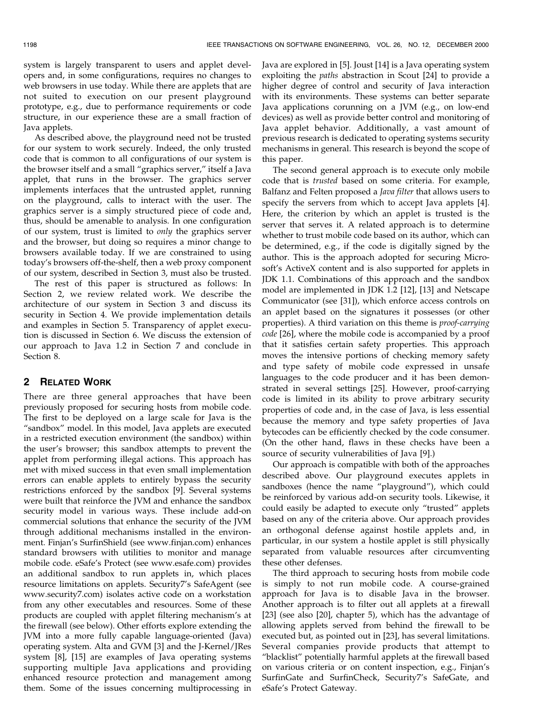system is largely transparent to users and applet developers and, in some configurations, requires no changes to web browsers in use today. While there are applets that are not suited to execution on our present playground prototype, e.g., due to performance requirements or code structure, in our experience these are a small fraction of Java applets.

As described above, the playground need not be trusted for our system to work securely. Indeed, the only trusted code that is common to all configurations of our system is the browser itself and a small "graphics server," itself a Java applet, that runs in the browser. The graphics server implements interfaces that the untrusted applet, running on the playground, calls to interact with the user. The graphics server is a simply structured piece of code and, thus, should be amenable to analysis. In one configuration of our system, trust is limited to only the graphics server and the browser, but doing so requires a minor change to browsers available today. If we are constrained to using today's browsers off-the-shelf, then a web proxy component of our system, described in Section 3, must also be trusted.

The rest of this paper is structured as follows: In Section 2, we review related work. We describe the architecture of our system in Section 3 and discuss its security in Section 4. We provide implementation details and examples in Section 5. Transparency of applet execution is discussed in Section 6. We discuss the extension of our approach to Java 1.2 in Section 7 and conclude in Section 8.

# 2 RELATED WORK

There are three general approaches that have been previously proposed for securing hosts from mobile code. The first to be deployed on a large scale for Java is the "sandbox" model. In this model, Java applets are executed in a restricted execution environment (the sandbox) within the user's browser; this sandbox attempts to prevent the applet from performing illegal actions. This approach has met with mixed success in that even small implementation errors can enable applets to entirely bypass the security restrictions enforced by the sandbox [9]. Several systems were built that reinforce the JVM and enhance the sandbox security model in various ways. These include add-on commercial solutions that enhance the security of the JVM through additional mechanisms installed in the environment. Finjan's SurfinShield (see www.finjan.com) enhances standard browsers with utilities to monitor and manage mobile code. eSafe's Protect (see www.esafe.com) provides an additional sandbox to run applets in, which places resource limitations on applets. Security7's SafeAgent (see www.security7.com) isolates active code on a workstation from any other executables and resources. Some of these products are coupled with applet filtering mechanism's at the firewall (see below). Other efforts explore extending the JVM into a more fully capable language-oriented (Java) operating system. Alta and GVM [3] and the J-Kernel/JRes system [8], [15] are examples of Java operating systems supporting multiple Java applications and providing enhanced resource protection and management among them. Some of the issues concerning multiprocessing in

Java are explored in [5]. Joust [14] is a Java operating system exploiting the paths abstraction in Scout [24] to provide a higher degree of control and security of Java interaction with its environments. These systems can better separate Java applications corunning on a JVM (e.g., on low-end devices) as well as provide better control and monitoring of Java applet behavior. Additionally, a vast amount of previous research is dedicated to operating systems security mechanisms in general. This research is beyond the scope of this paper.

The second general approach is to execute only mobile code that is trusted based on some criteria. For example, Balfanz and Felten proposed a Java filter that allows users to specify the servers from which to accept Java applets [4]. Here, the criterion by which an applet is trusted is the server that serves it. A related approach is to determine whether to trust mobile code based on its author, which can be determined, e.g., if the code is digitally signed by the author. This is the approach adopted for securing Microsoft's ActiveX content and is also supported for applets in JDK 1.1. Combinations of this approach and the sandbox model are implemented in JDK 1.2 [12], [13] and Netscape Communicator (see [31]), which enforce access controls on an applet based on the signatures it possesses (or other properties). A third variation on this theme is proof-carrying code [26], where the mobile code is accompanied by a proof that it satisfies certain safety properties. This approach moves the intensive portions of checking memory safety and type safety of mobile code expressed in unsafe languages to the code producer and it has been demonstrated in several settings [25]. However, proof-carrying code is limited in its ability to prove arbitrary security properties of code and, in the case of Java, is less essential because the memory and type safety properties of Java bytecodes can be efficiently checked by the code consumer. (On the other hand, flaws in these checks have been a source of security vulnerabilities of Java [9].)

Our approach is compatible with both of the approaches described above. Our playground executes applets in sandboxes (hence the name "playground"), which could be reinforced by various add-on security tools. Likewise, it could easily be adapted to execute only "trusted" applets based on any of the criteria above. Our approach provides an orthogonal defense against hostile applets and, in particular, in our system a hostile applet is still physically separated from valuable resources after circumventing these other defenses.

The third approach to securing hosts from mobile code is simply to not run mobile code. A course-grained approach for Java is to disable Java in the browser. Another approach is to filter out all applets at a firewall [23] (see also [20], chapter 5), which has the advantage of allowing applets served from behind the firewall to be executed but, as pointed out in [23], has several limitations. Several companies provide products that attempt to "blacklist" potentially harmful applets at the firewall based on various criteria or on content inspection, e.g., Finjan's SurfinGate and SurfinCheck, Security7's SafeGate, and eSafe's Protect Gateway.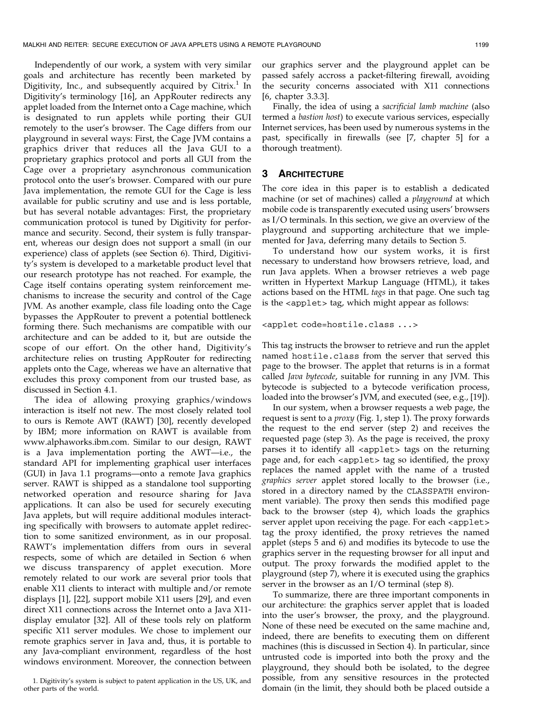Independently of our work, a system with very similar goals and architecture has recently been marketed by Digitivity, Inc., and subsequently acquired by Citrix.<sup>1</sup> In Digitivity's terminology [16], an AppRouter redirects any applet loaded from the Internet onto a Cage machine, which is designated to run applets while porting their GUI remotely to the user's browser. The Cage differs from our playground in several ways: First, the Cage JVM contains a graphics driver that reduces all the Java GUI to a proprietary graphics protocol and ports all GUI from the Cage over a proprietary asynchronous communication protocol onto the user's browser. Compared with our pure Java implementation, the remote GUI for the Cage is less available for public scrutiny and use and is less portable, but has several notable advantages: First, the proprietary communication protocol is tuned by Digitivity for performance and security. Second, their system is fully transparent, whereas our design does not support a small (in our experience) class of applets (see Section 6). Third, Digitivity's system is developed to a marketable product level that our research prototype has not reached. For example, the Cage itself contains operating system reinforcement mechanisms to increase the security and control of the Cage JVM. As another example, class file loading onto the Cage bypasses the AppRouter to prevent a potential bottleneck forming there. Such mechanisms are compatible with our architecture and can be added to it, but are outside the scope of our effort. On the other hand, Digitivity's architecture relies on trusting AppRouter for redirecting applets onto the Cage, whereas we have an alternative that excludes this proxy component from our trusted base, as discussed in Section 4.1.

The idea of allowing proxying graphics/windows interaction is itself not new. The most closely related tool to ours is Remote AWT (RAWT) [30], recently developed by IBM; more information on RAWT is available from www.alphaworks.ibm.com. Similar to our design, RAWT is a Java implementation porting the AWT-i.e., the standard API for implementing graphical user interfaces (GUI) in Java 1.1 programs-onto a remote Java graphics server. RAWT is shipped as a standalone tool supporting networked operation and resource sharing for Java applications. It can also be used for securely executing Java applets, but will require additional modules interacting specifically with browsers to automate applet redirection to some sanitized environment, as in our proposal. RAWT's implementation differs from ours in several respects, some of which are detailed in Section 6 when we discuss transparency of applet execution. More remotely related to our work are several prior tools that enable X11 clients to interact with multiple and/or remote displays [1], [22], support mobile X11 users [29], and even direct X11 connections across the Internet onto a Java X11 display emulator [32]. All of these tools rely on platform specific X11 server modules. We chose to implement our remote graphics server in Java and, thus, it is portable to any Java-compliant environment, regardless of the host windows environment. Moreover, the connection between

our graphics server and the playground applet can be passed safely accross a packet-filtering firewall, avoiding the security concerns associated with X11 connections [6, chapter 3.3.3].

Finally, the idea of using a sacrificial lamb machine (also termed a bastion host) to execute various services, especially Internet services, has been used by numerous systems in the past, specifically in firewalls (see [7, chapter 5] for a thorough treatment).

### 3 ARCHITECTURE

The core idea in this paper is to establish a dedicated machine (or set of machines) called a *playground* at which mobile code is transparently executed using users' browsers as I/O terminals. In this section, we give an overview of the playground and supporting architecture that we implemented for Java, deferring many details to Section 5.

To understand how our system works, it is first necessary to understand how browsers retrieve, load, and run Java applets. When a browser retrieves a web page written in Hypertext Markup Language (HTML), it takes actions based on the HTML tags in that page. One such tag is the <applet> tag, which might appear as follows:

#### <applet code=hostile.class ...>

This tag instructs the browser to retrieve and run the applet named hostile.class from the server that served this page to the browser. The applet that returns is in a format called Java bytecode, suitable for running in any JVM. This bytecode is subjected to a bytecode verification process, loaded into the browser's JVM, and executed (see, e.g., [19]).

In our system, when a browser requests a web page, the request is sent to a proxy (Fig. 1, step 1). The proxy forwards the request to the end server (step 2) and receives the requested page (step 3). As the page is received, the proxy parses it to identify all <applet> tags on the returning page and, for each <applet> tag so identified, the proxy replaces the named applet with the name of a trusted graphics server applet stored locally to the browser (i.e., stored in a directory named by the CLASSPATH environment variable). The proxy then sends this modified page back to the browser (step 4), which loads the graphics server applet upon receiving the page. For each <applet> tag the proxy identified, the proxy retrieves the named applet (steps 5 and 6) and modifies its bytecode to use the graphics server in the requesting browser for all input and output. The proxy forwards the modified applet to the playground (step 7), where it is executed using the graphics server in the browser as an I/O terminal (step 8).

To summarize, there are three important components in our architecture: the graphics server applet that is loaded into the user's browser, the proxy, and the playground. None of these need be executed on the same machine and, indeed, there are benefits to executing them on different machines (this is discussed in Section 4). In particular, since untrusted code is imported into both the proxy and the playground, they should both be isolated, to the degree possible, from any sensitive resources in the protected domain (in the limit, they should both be placed outside a

<sup>1.</sup> Digitivity's system is subject to patent application in the US, UK, and other parts of the world.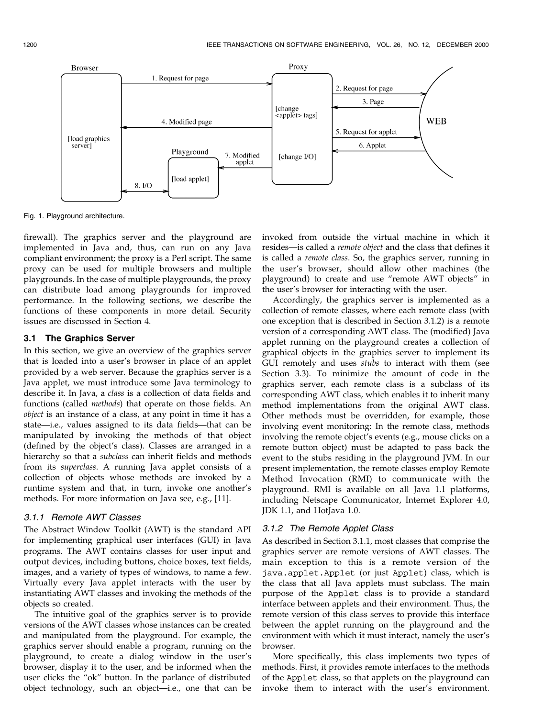

Fig. 1. Playground architecture.

firewall). The graphics server and the playground are implemented in Java and, thus, can run on any Java compliant environment; the proxy is a Perl script. The same proxy can be used for multiple browsers and multiple playgrounds. In the case of multiple playgrounds, the proxy can distribute load among playgrounds for improved performance. In the following sections, we describe the functions of these components in more detail. Security issues are discussed in Section 4.

# 3.1 The Graphics Server

In this section, we give an overview of the graphics server that is loaded into a user's browser in place of an applet provided by a web server. Because the graphics server is a Java applet, we must introduce some Java terminology to describe it. In Java, a class is a collection of data fields and functions (called methods) that operate on those fields. An object is an instance of a class, at any point in time it has a state—i.e., values assigned to its data fields—that can be manipulated by invoking the methods of that object (defined by the object's class). Classes are arranged in a hierarchy so that a subclass can inherit fields and methods from its superclass. A running Java applet consists of a collection of objects whose methods are invoked by a runtime system and that, in turn, invoke one another's methods. For more information on Java see, e.g., [11].

# 3.1.1 Remote AWT Classes

The Abstract Window Toolkit (AWT) is the standard API for implementing graphical user interfaces (GUI) in Java programs. The AWT contains classes for user input and output devices, including buttons, choice boxes, text fields, images, and a variety of types of windows, to name a few. Virtually every Java applet interacts with the user by instantiating AWT classes and invoking the methods of the objects so created.

The intuitive goal of the graphics server is to provide versions of the AWT classes whose instances can be created and manipulated from the playground. For example, the graphics server should enable a program, running on the playground, to create a dialog window in the user's browser, display it to the user, and be informed when the user clicks the "ok" button. In the parlance of distributed object technology, such an object-i.e., one that can be

invoked from outside the virtual machine in which it resides-is called a remote object and the class that defines it is called a *remote class*. So, the graphics server, running in the user's browser, should allow other machines (the playground) to create and use "remote AWT objects" in the user's browser for interacting with the user.

Accordingly, the graphics server is implemented as a collection of remote classes, where each remote class (with one exception that is described in Section 3.1.2) is a remote version of a corresponding AWT class. The (modified) Java applet running on the playground creates a collection of graphical objects in the graphics server to implement its GUI remotely and uses stubs to interact with them (see Section 3.3). To minimize the amount of code in the graphics server, each remote class is a subclass of its corresponding AWT class, which enables it to inherit many method implementations from the original AWT class. Other methods must be overridden, for example, those involving event monitoring: In the remote class, methods involving the remote object's events (e.g., mouse clicks on a remote button object) must be adapted to pass back the event to the stubs residing in the playground JVM. In our present implementation, the remote classes employ Remote Method Invocation (RMI) to communicate with the playground. RMI is available on all Java 1.1 platforms, including Netscape Communicator, Internet Explorer 4.0, JDK 1.1, and HotJava 1.0.

## 3.1.2 The Remote Applet Class

As described in Section 3.1.1, most classes that comprise the graphics server are remote versions of AWT classes. The main exception to this is a remote version of the java.applet.Applet (or just Applet) class, which is the class that all Java applets must subclass. The main purpose of the Applet class is to provide a standard interface between applets and their environment. Thus, the remote version of this class serves to provide this interface between the applet running on the playground and the environment with which it must interact, namely the user's browser.

More specifically, this class implements two types of methods. First, it provides remote interfaces to the methods of the Applet class, so that applets on the playground can invoke them to interact with the user's environment.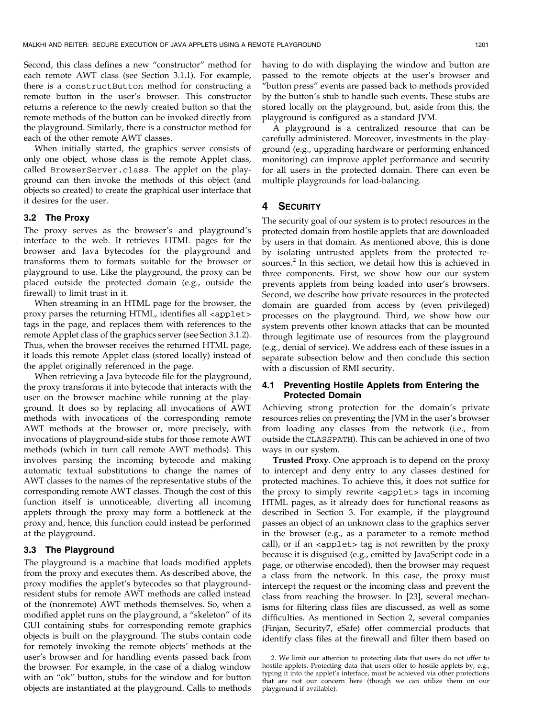Second, this class defines a new "constructor" method for each remote AWT class (see Section 3.1.1). For example, there is a constructButton method for constructing a remote button in the user's browser. This constructor returns a reference to the newly created button so that the remote methods of the button can be invoked directly from the playground. Similarly, there is a constructor method for each of the other remote AWT classes.

When initially started, the graphics server consists of only one object, whose class is the remote Applet class, called BrowserServer.class. The applet on the playground can then invoke the methods of this object (and objects so created) to create the graphical user interface that it desires for the user.

## 3.2 The Proxy

The proxy serves as the browser's and playground's interface to the web. It retrieves HTML pages for the browser and Java bytecodes for the playground and transforms them to formats suitable for the browser or playground to use. Like the playground, the proxy can be placed outside the protected domain (e.g., outside the firewall) to limit trust in it.

When streaming in an HTML page for the browser, the proxy parses the returning HTML, identifies all <applet> tags in the page, and replaces them with references to the remote Applet class of the graphics server (see Section 3.1.2). Thus, when the browser receives the returned HTML page, it loads this remote Applet class (stored locally) instead of the applet originally referenced in the page.

When retrieving a Java bytecode file for the playground, the proxy transforms it into bytecode that interacts with the user on the browser machine while running at the playground. It does so by replacing all invocations of AWT methods with invocations of the corresponding remote AWT methods at the browser or, more precisely, with invocations of playground-side stubs for those remote AWT methods (which in turn call remote AWT methods). This involves parsing the incoming bytecode and making automatic textual substitutions to change the names of AWT classes to the names of the representative stubs of the corresponding remote AWT classes. Though the cost of this function itself is unnoticeable, diverting all incoming applets through the proxy may form a bottleneck at the proxy and, hence, this function could instead be performed at the playground.

## 3.3 The Playground

The playground is a machine that loads modified applets from the proxy and executes them. As described above, the proxy modifies the applet's bytecodes so that playgroundresident stubs for remote AWT methods are called instead of the (nonremote) AWT methods themselves. So, when a modified applet runs on the playground, a "skeleton" of its GUI containing stubs for corresponding remote graphics objects is built on the playground. The stubs contain code for remotely invoking the remote objects' methods at the user's browser and for handling events passed back from the browser. For example, in the case of a dialog window with an "ok" button, stubs for the window and for button objects are instantiated at the playground. Calls to methods

having to do with displaying the window and button are passed to the remote objects at the user's browser and "button press" events are passed back to methods provided by the button's stub to handle such events. These stubs are stored locally on the playground, but, aside from this, the playground is configured as a standard JVM.

A playground is a centralized resource that can be carefully administered. Moreover, investments in the playground (e.g., upgrading hardware or performing enhanced monitoring) can improve applet performance and security for all users in the protected domain. There can even be multiple playgrounds for load-balancing.

# 4 SECURITY

The security goal of our system is to protect resources in the protected domain from hostile applets that are downloaded by users in that domain. As mentioned above, this is done by isolating untrusted applets from the protected resources.<sup>2</sup> In this section, we detail how this is achieved in three components. First, we show how our our system prevents applets from being loaded into user's browsers. Second, we describe how private resources in the protected domain are guarded from access by (even privileged) processes on the playground. Third, we show how our system prevents other known attacks that can be mounted through legitimate use of resources from the playground (e.g., denial of service). We address each of these issues in a separate subsection below and then conclude this section with a discussion of RMI security.

## 4.1 Preventing Hostile Applets from Entering the Protected Domain

Achieving strong protection for the domain's private resources relies on preventing the JVM in the user's browser from loading any classes from the network (i.e., from outside the CLASSPATH). This can be achieved in one of two ways in our system.

Trusted Proxy. One approach is to depend on the proxy to intercept and deny entry to any classes destined for protected machines. To achieve this, it does not suffice for the proxy to simply rewrite <applet> tags in incoming HTML pages, as it already does for functional reasons as described in Section 3. For example, if the playground passes an object of an unknown class to the graphics server in the browser (e.g., as a parameter to a remote method call), or if an <applet> tag is not rewritten by the proxy because it is disguised (e.g., emitted by JavaScript code in a page, or otherwise encoded), then the browser may request a class from the network. In this case, the proxy must intercept the request or the incoming class and prevent the class from reaching the browser. In [23], several mechanisms for filtering class files are discussed, as well as some difficulties. As mentioned in Section 2, several companies (Finjan, Security7, eSafe) offer commercial products that identify class files at the firewall and filter them based on

<sup>2.</sup> We limit our attention to protecting data that users do not offer to hostile applets. Protecting data that users offer to hostile applets by, e.g., typing it into the applet's interface, must be achieved via other protections that are not our concern here (though we can utilize them on our playground if available).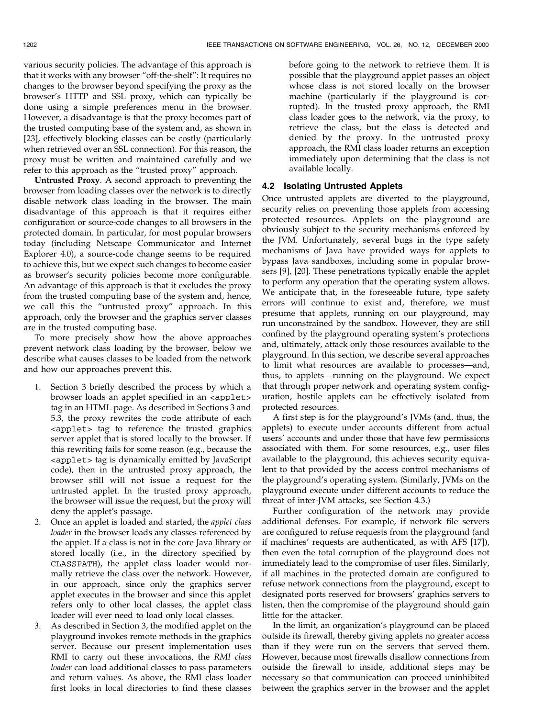various security policies. The advantage of this approach is that it works with any browser "off-the-shelf": It requires no changes to the browser beyond specifying the proxy as the browser's HTTP and SSL proxy, which can typically be done using a simple preferences menu in the browser. However, a disadvantage is that the proxy becomes part of the trusted computing base of the system and, as shown in [23], effectively blocking classes can be costly (particularly when retrieved over an SSL connection). For this reason, the proxy must be written and maintained carefully and we refer to this approach as the "trusted proxy" approach.

Untrusted Proxy. A second approach to preventing the browser from loading classes over the network is to directly disable network class loading in the browser. The main disadvantage of this approach is that it requires either configuration or source-code changes to all browsers in the protected domain. In particular, for most popular browsers today (including Netscape Communicator and Internet Explorer 4.0), a source-code change seems to be required to achieve this, but we expect such changes to become easier as browser's security policies become more configurable. An advantage of this approach is that it excludes the proxy from the trusted computing base of the system and, hence, we call this the "untrusted proxy" approach. In this approach, only the browser and the graphics server classes are in the trusted computing base.

To more precisely show how the above approaches prevent network class loading by the browser, below we describe what causes classes to be loaded from the network and how our approaches prevent this.

- 1. Section 3 briefly described the process by which a browser loads an applet specified in an <applet> tag in an HTML page. As described in Sections 3 and 5.3, the proxy rewrites the code attribute of each <applet> tag to reference the trusted graphics server applet that is stored locally to the browser. If this rewriting fails for some reason (e.g., because the <applet> tag is dynamically emitted by JavaScript code), then in the untrusted proxy approach, the browser still will not issue a request for the untrusted applet. In the trusted proxy approach, the browser will issue the request, but the proxy will deny the applet's passage.
- 2. Once an applet is loaded and started, the applet class loader in the browser loads any classes referenced by the applet. If a class is not in the core Java library or stored locally (i.e., in the directory specified by CLASSPATH), the applet class loader would normally retrieve the class over the network. However, in our approach, since only the graphics server applet executes in the browser and since this applet refers only to other local classes, the applet class loader will ever need to load only local classes.
- 3. As described in Section 3, the modified applet on the playground invokes remote methods in the graphics server. Because our present implementation uses RMI to carry out these invocations, the RMI class loader can load additional classes to pass parameters and return values. As above, the RMI class loader first looks in local directories to find these classes

before going to the network to retrieve them. It is possible that the playground applet passes an object whose class is not stored locally on the browser machine (particularly if the playground is corrupted). In the trusted proxy approach, the RMI class loader goes to the network, via the proxy, to retrieve the class, but the class is detected and denied by the proxy. In the untrusted proxy approach, the RMI class loader returns an exception immediately upon determining that the class is not available locally.

#### 4.2 Isolating Untrusted Applets

Once untrusted applets are diverted to the playground, security relies on preventing those applets from accessing protected resources. Applets on the playground are obviously subject to the security mechanisms enforced by the JVM. Unfortunately, several bugs in the type safety mechanisms of Java have provided ways for applets to bypass Java sandboxes, including some in popular browsers [9], [20]. These penetrations typically enable the applet to perform any operation that the operating system allows. We anticipate that, in the foreseeable future, type safety errors will continue to exist and, therefore, we must presume that applets, running on our playground, may run unconstrained by the sandbox. However, they are still confined by the playground operating system's protections and, ultimately, attack only those resources available to the playground. In this section, we describe several approaches to limit what resources are available to processes—and, thus, to applets—running on the playground. We expect that through proper network and operating system configuration, hostile applets can be effectively isolated from protected resources.

A first step is for the playground's JVMs (and, thus, the applets) to execute under accounts different from actual users' accounts and under those that have few permissions associated with them. For some resources, e.g., user files available to the playground, this achieves security equivalent to that provided by the access control mechanisms of the playground's operating system. (Similarly, JVMs on the playground execute under different accounts to reduce the threat of inter-JVM attacks, see Section 4.3.)

Further configuration of the network may provide additional defenses. For example, if network file servers are configured to refuse requests from the playground (and if machines' requests are authenticated, as with AFS [17]), then even the total corruption of the playground does not immediately lead to the compromise of user files. Similarly, if all machines in the protected domain are configured to refuse network connections from the playground, except to designated ports reserved for browsers' graphics servers to listen, then the compromise of the playground should gain little for the attacker.

In the limit, an organization's playground can be placed outside its firewall, thereby giving applets no greater access than if they were run on the servers that served them. However, because most firewalls disallow connections from outside the firewall to inside, additional steps may be necessary so that communication can proceed uninhibited between the graphics server in the browser and the applet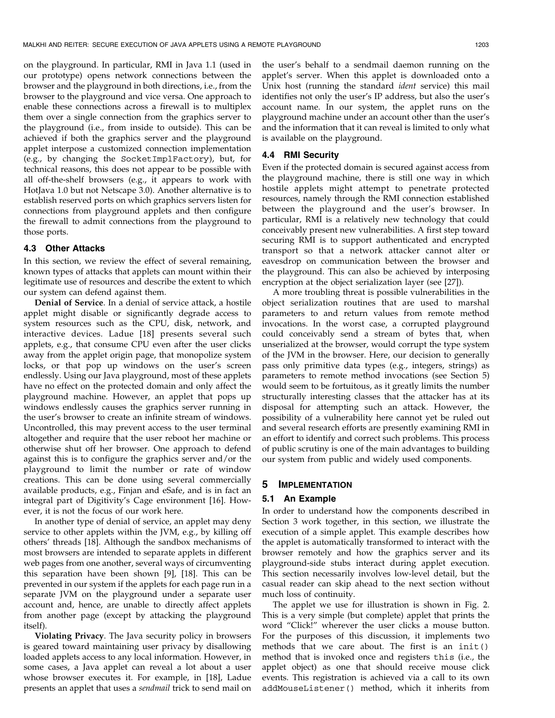on the playground. In particular, RMI in Java 1.1 (used in our prototype) opens network connections between the browser and the playground in both directions, i.e., from the browser to the playground and vice versa. One approach to enable these connections across a firewall is to multiplex them over a single connection from the graphics server to the playground (i.e., from inside to outside). This can be achieved if both the graphics server and the playground applet interpose a customized connection implementation (e.g., by changing the SocketImplFactory), but, for technical reasons, this does not appear to be possible with all off-the-shelf browsers (e.g., it appears to work with HotJava 1.0 but not Netscape 3.0). Another alternative is to establish reserved ports on which graphics servers listen for connections from playground applets and then configure the firewall to admit connections from the playground to those ports.

#### 4.3 Other Attacks

In this section, we review the effect of several remaining, known types of attacks that applets can mount within their legitimate use of resources and describe the extent to which our system can defend against them.

Denial of Service. In a denial of service attack, a hostile applet might disable or significantly degrade access to system resources such as the CPU, disk, network, and interactive devices. Ladue [18] presents several such applets, e.g., that consume CPU even after the user clicks away from the applet origin page, that monopolize system locks, or that pop up windows on the user's screen endlessly. Using our Java playground, most of these applets have no effect on the protected domain and only affect the playground machine. However, an applet that pops up windows endlessly causes the graphics server running in the user's browser to create an infinite stream of windows. Uncontrolled, this may prevent access to the user terminal altogether and require that the user reboot her machine or otherwise shut off her browser. One approach to defend against this is to configure the graphics server and/or the playground to limit the number or rate of window creations. This can be done using several commercially available products, e.g., Finjan and eSafe, and is in fact an integral part of Digitivity's Cage environment [16]. However, it is not the focus of our work here.

In another type of denial of service, an applet may deny service to other applets within the JVM, e.g., by killing off others' threads [18]. Although the sandbox mechanisms of most browsers are intended to separate applets in different web pages from one another, several ways of circumventing this separation have been shown [9], [18]. This can be prevented in our system if the applets for each page run in a separate JVM on the playground under a separate user account and, hence, are unable to directly affect applets from another page (except by attacking the playground itself).

Violating Privacy. The Java security policy in browsers is geared toward maintaining user privacy by disallowing loaded applets access to any local information. However, in some cases, a Java applet can reveal a lot about a user whose browser executes it. For example, in [18], Ladue presents an applet that uses a sendmail trick to send mail on

the user's behalf to a sendmail daemon running on the applet's server. When this applet is downloaded onto a Unix host (running the standard ident service) this mail identifies not only the user's IP address, but also the user's account name. In our system, the applet runs on the playground machine under an account other than the user's and the information that it can reveal is limited to only what is available on the playground.

# 4.4 RMI Security

Even if the protected domain is secured against access from the playground machine, there is still one way in which hostile applets might attempt to penetrate protected resources, namely through the RMI connection established between the playground and the user's browser. In particular, RMI is a relatively new technology that could conceivably present new vulnerabilities. A first step toward securing RMI is to support authenticated and encrypted transport so that a network attacker cannot alter or eavesdrop on communication between the browser and the playground. This can also be achieved by interposing encryption at the object serialization layer (see [27]).

A more troubling threat is possible vulnerabilities in the object serialization routines that are used to marshal parameters to and return values from remote method invocations. In the worst case, a corrupted playground could conceivably send a stream of bytes that, when unserialized at the browser, would corrupt the type system of the JVM in the browser. Here, our decision to generally pass only primitive data types (e.g., integers, strings) as parameters to remote method invocations (see Section 5) would seem to be fortuitous, as it greatly limits the number structurally interesting classes that the attacker has at its disposal for attempting such an attack. However, the possibility of a vulnerability here cannot yet be ruled out and several research efforts are presently examining RMI in an effort to identify and correct such problems. This process of public scrutiny is one of the main advantages to building our system from public and widely used components.

#### 5 IMPLEMENTATION

#### 5.1 An Example

In order to understand how the components described in Section 3 work together, in this section, we illustrate the execution of a simple applet. This example describes how the applet is automatically transformed to interact with the browser remotely and how the graphics server and its playground-side stubs interact during applet execution. This section necessarily involves low-level detail, but the casual reader can skip ahead to the next section without much loss of continuity.

The applet we use for illustration is shown in Fig. 2. This is a very simple (but complete) applet that prints the word "Click!" wherever the user clicks a mouse button. For the purposes of this discussion, it implements two methods that we care about. The first is an init() method that is invoked once and registers this (i.e., the applet object) as one that should receive mouse click events. This registration is achieved via a call to its own addMouseListener() method, which it inherits from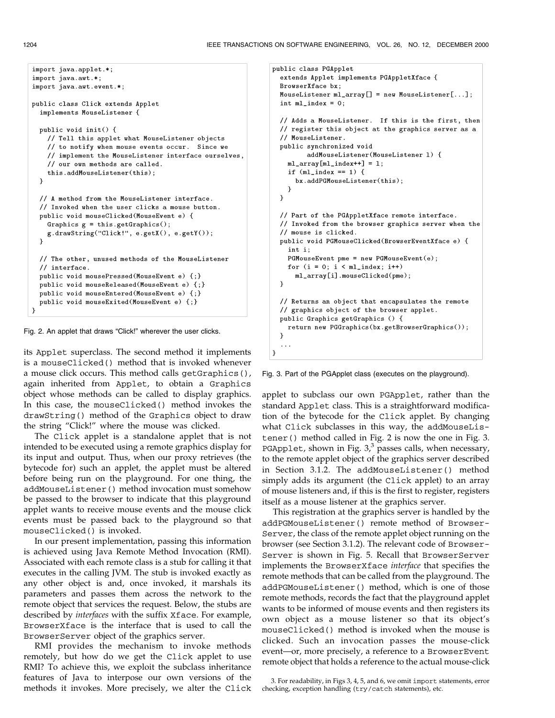```
import java.applet.*;
import java.awt.*;
import java.awt.event.*;
public class Click extends Applet
  implements MouseListener {
  public void init() {
    // Tell this applet what MouseListener objects
    // to notify when mouse events occur. Since we
    // implement the MouseListener interface ourselves,
    // our own methods are called.
    this.addMouseListener(this);
  \rightarrow// A method from the MouseListener interface.
  // Invoked when the user clicks a mouse button.
  public void mouseClicked(MouseEvent e) {
    Graphics g = this.getGraphics();
    g.drawString("Click!", e.getX(), e.getY());\mathbf{a}// The other, unused methods of the MouseListener
  // interface.
  public void mousePressed(MouseEvent e) {;}
  public void mouseReleased(MouseEvent e) {;}
  public void mouseEntered(MouseEvent e) {;}
  public void mouseExited(MouseEvent e) {;}
\mathcal{Y}
```


its Applet superclass. The second method it implements is a mouseClicked() method that is invoked whenever a mouse click occurs. This method calls getGraphics(), again inherited from Applet, to obtain a Graphics object whose methods can be called to display graphics. In this case, the mouseClicked() method invokes the drawString() method of the Graphics object to draw the string "Click!" where the mouse was clicked.

The Click applet is a standalone applet that is not intended to be executed using a remote graphics display for its input and output. Thus, when our proxy retrieves (the bytecode for) such an applet, the applet must be altered before being run on the playground. For one thing, the addMouseListener() method invocation must somehow be passed to the browser to indicate that this playground applet wants to receive mouse events and the mouse click events must be passed back to the playground so that mouseClicked() is invoked.

In our present implementation, passing this information is achieved using Java Remote Method Invocation (RMI). Associated with each remote class is a stub for calling it that executes in the calling JVM. The stub is invoked exactly as any other object is and, once invoked, it marshals its parameters and passes them across the network to the remote object that services the request. Below, the stubs are described by interfaces with the suffix Xface. For example, BrowserXface is the interface that is used to call the BrowserServer object of the graphics server.

RMI provides the mechanism to invoke methods remotely, but how do we get the Click applet to use RMI? To achieve this, we exploit the subclass inheritance features of Java to interpose our own versions of the methods it invokes. More precisely, we alter the Click

```
public class PGApplet
  extends Applet implements PGAppletXface {
  BrowserXface bx;
  MouseListener ml\_array[] = new MouseListener[...];
  int ml\_index = 0;
  // Adds a MouseListener. If this is the first, then
  // register this object at the graphics server as a
  // MouseListener.
  public synchronized void
         addMouseListener(MouseListener 1) {
    ml\_array[m1\_index++] = 1;if (m1_index == 1) {
      bx.addPGMouseListener(this);
    \mathbf{r}\mathbf{r}// Part of the PGAppletXface remote interface.
  // Invoked from the browser graphics server when the
  // mouse is clicked.
  public void PGMouseClicked (BrowserEventXface e) {
    int i:
    PGMouseEvent pme = new PGMouseEvent(e);
    for (i = 0; i < m1 index; i++)ml_array[i].mouseClicked(pme);
  // Returns an object that encapsulates the remote
  // graphics object of the browser applet.
  public Graphics getGraphics () {
    return new PGGraphics(bx.getBrowserGraphics());
  \mathbf{r}\sim \sim \sim\mathbf{r}
```
Fig. 3. Part of the PGApplet class (executes on the playground).

applet to subclass our own PGApplet, rather than the standard Applet class. This is a straightforward modification of the bytecode for the Click applet. By changing what Click subclasses in this way, the addMouseListener() method called in Fig. 2 is now the one in Fig. 3. PGApplet, shown in Fig.  $3<sup>3</sup>$  passes calls, when necessary, to the remote applet object of the graphics server described in Section 3.1.2. The addMouseListener() method simply adds its argument (the Click applet) to an array of mouse listeners and, if this is the first to register, registers itself as a mouse listener at the graphics server.

This registration at the graphics server is handled by the addPGMouseListener() remote method of Browser-Server, the class of the remote applet object running on the browser (see Section 3.1.2). The relevant code of Browser-Server is shown in Fig. 5. Recall that BrowserServer implements the BrowserXface interface that specifies the remote methods that can be called from the playground. The addPGMouseListener() method, which is one of those remote methods, records the fact that the playground applet wants to be informed of mouse events and then registers its own object as a mouse listener so that its object's mouseClicked() method is invoked when the mouse is clicked. Such an invocation passes the mouse-click event-or, more precisely, a reference to a BrowserEvent remote object that holds a reference to the actual mouse-click

3. For readability, in Figs 3, 4, 5, and 6, we omit import statements, error checking, exception handling (try/catch statements), etc.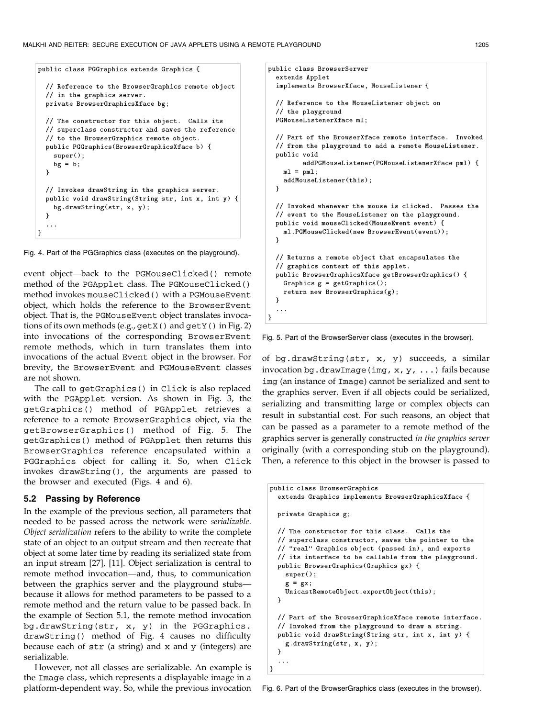```
public class PGGraphics extends Graphics {
  // Reference to the BrowserGraphics remote object
  // in the graphics server.
  private BrowserGraphicsXface bg;
  // The constructor for this object. Calls its
  // superclass constructor and saves the reference
  // to the BrowserGraphics remote object.
  public PGGraphics(BrowserGraphicsXface b) {
    super();
    bg = b;\mathbf{r}// Invokes drawString in the graphics server.
  public void drawString(String str, int x, int y) {
    bg.drawString(str, x, y);\mathcal{F}
```
Fig. 4. Part of the PGGraphics class (executes on the playground).

event object—back to the PGMouseClicked() remote method of the PGApplet class. The PGMouseClicked() method invokes mouseClicked() with a PGMouseEvent object, which holds the reference to the BrowserEvent object. That is, the PGMouseEvent object translates invocations of its own methods (e.g., getX() and getY() in Fig. 2) into invocations of the corresponding BrowserEvent remote methods, which in turn translates them into invocations of the actual Event object in the browser. For brevity, the BrowserEvent and PGMouseEvent classes are not shown.

The call to getGraphics() in Click is also replaced with the PGApplet version. As shown in Fig. 3, the getGraphics() method of PGApplet retrieves a reference to a remote BrowserGraphics object, via the getBrowserGraphics() method of Fig. 5. The getGraphics() method of PGApplet then returns this BrowserGraphics reference encapsulated within a PGGraphics object for calling it. So, when Click invokes drawString(), the arguments are passed to the browser and executed (Figs. 4 and 6).

#### 5.2 Passing by Reference

In the example of the previous section, all parameters that needed to be passed across the network were serializable. Object serialization refers to the ability to write the complete state of an object to an output stream and then recreate that object at some later time by reading its serialized state from an input stream [27], [11]. Object serialization is central to remote method invocation—and, thus, to communication between the graphics server and the playground stubsbecause it allows for method parameters to be passed to a remote method and the return value to be passed back. In the example of Section 5.1, the remote method invocation bg.drawString(str, x, y) in the PGGraphics. drawString() method of Fig. 4 causes no difficulty because each of  $str$  (a string) and  $x$  and  $y$  (integers) are serializable.

However, not all classes are serializable. An example is the Image class, which represents a displayable image in a platform-dependent way. So, while the previous invocation

```
public class BrowserServer
  extends Applet
  implements BrowserXface, MouseListener {
  // Reference to the MouseListener object on
  // the playground
  PGMouseListenerXface ml;
  // Part of the BrowserXface remote interface. Invoked
  // from the playground to add a remote MouseListener.
  public void
         addPGMouseListener(PGMouseListenerXface pml) {
    ml = pm1;addMouseListener(this); \\Þ
  // Invoked whenever the mouse is clicked. Passes the
  // event to the MouseListener on the playground.
  public void mouseClicked(MouseEvent event) {
    ml.PGMouseClicked(new BrowserEvent(event));
  \mathbf{r}// Returns a remote object that encapsulates the
  // graphics context of this applet.
  public BrowserGraphicsXface getBrowserGraphics() {
    Graphics g = getGraphics();
    return new BrowserGraphics(g);
  \mathcal{F}\sim \sim \sim\}
```
Fig. 5. Part of the BrowserServer class (executes in the browser).

of bg.drawString(str, x, y) succeeds, a similar invocation bg.drawImage(img,  $x, y, ...$ ) fails because img (an instance of Image) cannot be serialized and sent to the graphics server. Even if all objects could be serialized, serializing and transmitting large or complex objects can result in substantial cost. For such reasons, an object that can be passed as a parameter to a remote method of the graphics server is generally constructed in the graphics server originally (with a corresponding stub on the playground). Then, a reference to this object in the browser is passed to

```
public class BrowserGraphics
  extends Graphics implements BrowserGraphicsXface {
  private Graphics g;
  // The constructor for this class. Calls the
  // superclass constructor, saves the pointer to the
  // "real" Graphics object (passed in), and exports
  // its interface to be callable from the playground.
  public BrowserGraphics(Graphics gx) {
    super();
    g = gx;{\tt UnicastRemoteObject.eventObject(this)};λ
  // Part of the BrowserGraphicsXface remote interface.
  // Invoked from the playground to draw a string.
  public void drawString(String str, int x, int y) {
    g.dra\#String(str, x, y);\mathbf{r}\sim 100\}
```
Fig. 6. Part of the BrowserGraphics class (executes in the browser).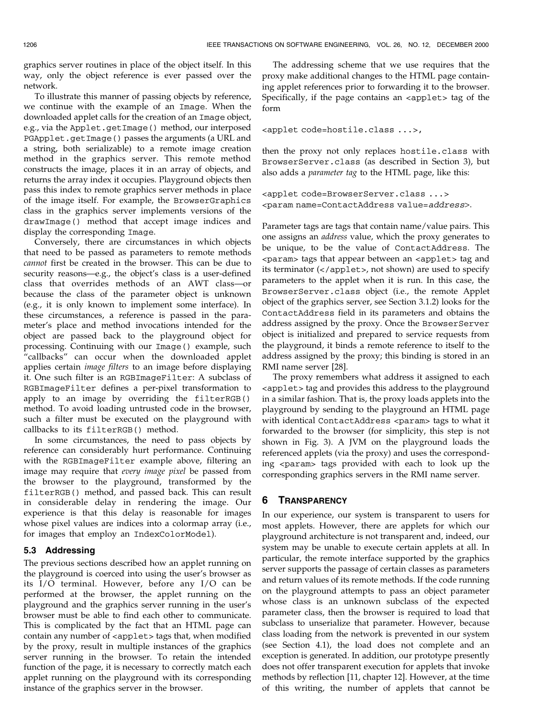graphics server routines in place of the object itself. In this way, only the object reference is ever passed over the network.

To illustrate this manner of passing objects by reference, we continue with the example of an Image. When the downloaded applet calls for the creation of an Image object, e.g., via the Applet.getImage() method, our interposed PGApplet.getImage() passes the arguments (a URL and a string, both serializable) to a remote image creation method in the graphics server. This remote method constructs the image, places it in an array of objects, and returns the array index it occupies. Playground objects then pass this index to remote graphics server methods in place of the image itself. For example, the BrowserGraphics class in the graphics server implements versions of the drawImage() method that accept image indices and display the corresponding Image.

Conversely, there are circumstances in which objects that need to be passed as parameters to remote methods cannot first be created in the browser. This can be due to security reasons-e.g., the object's class is a user-defined class that overrides methods of an AWT class-or because the class of the parameter object is unknown (e.g., it is only known to implement some interface). In these circumstances, a reference is passed in the parameter's place and method invocations intended for the object are passed back to the playground object for processing. Continuing with our Image() example, such "callbacks" can occur when the downloaded applet applies certain *image filters* to an image before displaying it. One such filter is an RGBImageFilter: A subclass of RGBImageFilter defines a per-pixel transformation to apply to an image by overriding the filterRGB() method. To avoid loading untrusted code in the browser, such a filter must be executed on the playground with callbacks to its filterRGB() method.

In some circumstances, the need to pass objects by reference can considerably hurt performance. Continuing with the RGBImageFilter example above, filtering an image may require that every image pixel be passed from the browser to the playground, transformed by the filterRGB() method, and passed back. This can result in considerable delay in rendering the image. Our experience is that this delay is reasonable for images whose pixel values are indices into a colormap array (i.e., for images that employ an IndexColorModel).

# 5.3 Addressing

The previous sections described how an applet running on the playground is coerced into using the user's browser as its I/O terminal. However, before any I/O can be performed at the browser, the applet running on the playground and the graphics server running in the user's browser must be able to find each other to communicate. This is complicated by the fact that an HTML page can contain any number of <applet> tags that, when modified by the proxy, result in multiple instances of the graphics server running in the browser. To retain the intended function of the page, it is necessary to correctly match each applet running on the playground with its corresponding instance of the graphics server in the browser.

The addressing scheme that we use requires that the proxy make additional changes to the HTML page containing applet references prior to forwarding it to the browser. Specifically, if the page contains an <applet> tag of the form

<applet code=hostile.class ...>,

then the proxy not only replaces hostile.class with BrowserServer.class (as described in Section 3), but also adds a parameter tag to the HTML page, like this:

<applet code=BrowserServer.class ...> <param name=ContactAddress value=address>.

Parameter tags are tags that contain name/value pairs. This one assigns an address value, which the proxy generates to be unique, to be the value of ContactAddress. The <param> tags that appear between an <applet> tag and its terminator  $\left\langle \times / \text{applets} \right\rangle$ , not shown) are used to specify parameters to the applet when it is run. In this case, the BrowserServer.class object (i.e., the remote Applet object of the graphics server, see Section 3.1.2) looks for the ContactAddress field in its parameters and obtains the address assigned by the proxy. Once the BrowserServer object is initialized and prepared to service requests from the playground, it binds a remote reference to itself to the address assigned by the proxy; this binding is stored in an RMI name server [28].

The proxy remembers what address it assigned to each <applet> tag and provides this address to the playground in a similar fashion. That is, the proxy loads applets into the playground by sending to the playground an HTML page with identical ContactAddress <param> tags to what it forwarded to the browser (for simplicity, this step is not shown in Fig. 3). A JVM on the playground loads the referenced applets (via the proxy) and uses the corresponding <param> tags provided with each to look up the corresponding graphics servers in the RMI name server.

# 6 TRANSPARENCY

In our experience, our system is transparent to users for most applets. However, there are applets for which our playground architecture is not transparent and, indeed, our system may be unable to execute certain applets at all. In particular, the remote interface supported by the graphics server supports the passage of certain classes as parameters and return values of its remote methods. If the code running on the playground attempts to pass an object parameter whose class is an unknown subclass of the expected parameter class, then the browser is required to load that subclass to unserialize that parameter. However, because class loading from the network is prevented in our system (see Section 4.1), the load does not complete and an exception is generated. In addition, our prototype presently does not offer transparent execution for applets that invoke methods by reflection [11, chapter 12]. However, at the time of this writing, the number of applets that cannot be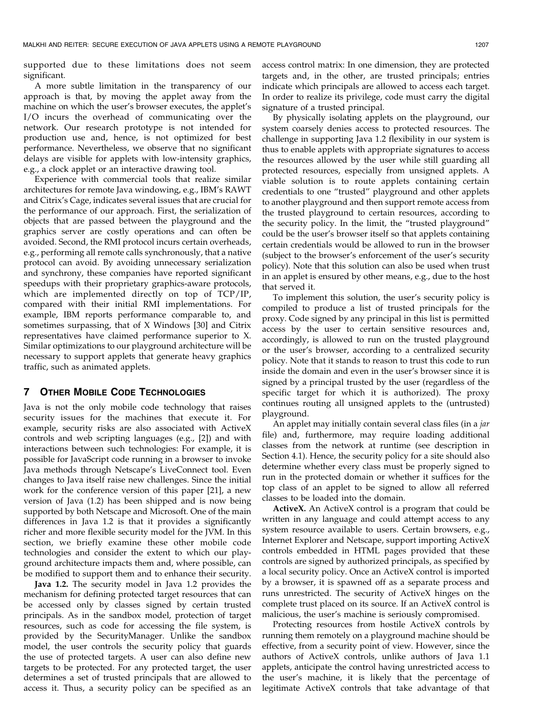supported due to these limitations does not seem significant.

A more subtle limitation in the transparency of our approach is that, by moving the applet away from the machine on which the user's browser executes, the applet's I/O incurs the overhead of communicating over the network. Our research prototype is not intended for production use and, hence, is not optimized for best performance. Nevertheless, we observe that no significant delays are visible for applets with low-intensity graphics, e.g., a clock applet or an interactive drawing tool.

Experience with commercial tools that realize similar architectures for remote Java windowing, e.g., IBM's RAWT and Citrix's Cage, indicates several issues that are crucial for the performance of our approach. First, the serialization of objects that are passed between the playground and the graphics server are costly operations and can often be avoided. Second, the RMI protocol incurs certain overheads, e.g., performing all remote calls synchronously, that a native protocol can avoid. By avoiding unnecessary serialization and synchrony, these companies have reported significant speedups with their proprietary graphics-aware protocols, which are implemented directly on top of TCP/IP, compared with their initial RMI implementations. For example, IBM reports performance comparable to, and sometimes surpassing, that of X Windows [30] and Citrix representatives have claimed performance superior to X. Similar optimizations to our playground architecture will be necessary to support applets that generate heavy graphics traffic, such as animated applets.

#### 7 OTHER MOBILE CODE TECHNOLOGIES

Java is not the only mobile code technology that raises security issues for the machines that execute it. For example, security risks are also associated with ActiveX controls and web scripting languages (e.g., [2]) and with interactions between such technologies: For example, it is possible for JavaScript code running in a browser to invoke Java methods through Netscape's LiveConnect tool. Even changes to Java itself raise new challenges. Since the initial work for the conference version of this paper [21], a new version of Java (1.2) has been shipped and is now being supported by both Netscape and Microsoft. One of the main differences in Java 1.2 is that it provides a significantly richer and more flexible security model for the JVM. In this section, we briefly examine these other mobile code technologies and consider the extent to which our playground architecture impacts them and, where possible, can be modified to support them and to enhance their security.

Java 1.2. The security model in Java 1.2 provides the mechanism for defining protected target resources that can be accessed only by classes signed by certain trusted principals. As in the sandbox model, protection of target resources, such as code for accessing the file system, is provided by the SecurityManager. Unlike the sandbox model, the user controls the security policy that guards the use of protected targets. A user can also define new targets to be protected. For any protected target, the user determines a set of trusted principals that are allowed to access it. Thus, a security policy can be specified as an

access control matrix: In one dimension, they are protected targets and, in the other, are trusted principals; entries indicate which principals are allowed to access each target. In order to realize its privilege, code must carry the digital signature of a trusted principal.

By physically isolating applets on the playground, our system coarsely denies access to protected resources. The challenge in supporting Java 1.2 flexibility in our system is thus to enable applets with appropriate signatures to access the resources allowed by the user while still guarding all protected resources, especially from unsigned applets. A viable solution is to route applets containing certain credentials to one "trusted" playground and other applets to another playground and then support remote access from the trusted playground to certain resources, according to the security policy. In the limit, the "trusted playground" could be the user's browser itself so that applets containing certain credentials would be allowed to run in the browser (subject to the browser's enforcement of the user's security policy). Note that this solution can also be used when trust in an applet is ensured by other means, e.g., due to the host that served it.

To implement this solution, the user's security policy is compiled to produce a list of trusted principals for the proxy. Code signed by any principal in this list is permitted access by the user to certain sensitive resources and, accordingly, is allowed to run on the trusted playground or the user's browser, according to a centralized security policy. Note that it stands to reason to trust this code to run inside the domain and even in the user's browser since it is signed by a principal trusted by the user (regardless of the specific target for which it is authorized). The proxy continues routing all unsigned applets to the (untrusted) playground.

An applet may initially contain several class files (in a jar file) and, furthermore, may require loading additional classes from the network at runtime (see description in Section 4.1). Hence, the security policy for a site should also determine whether every class must be properly signed to run in the protected domain or whether it suffices for the top class of an applet to be signed to allow all referred classes to be loaded into the domain.

ActiveX. An ActiveX control is a program that could be written in any language and could attempt access to any system resource available to users. Certain browsers, e.g., Internet Explorer and Netscape, support importing ActiveX controls embedded in HTML pages provided that these controls are signed by authorized principals, as specified by a local security policy. Once an ActiveX control is imported by a browser, it is spawned off as a separate process and runs unrestricted. The security of ActiveX hinges on the complete trust placed on its source. If an ActiveX control is malicious, the user's machine is seriously compromised.

Protecting resources from hostile ActiveX controls by running them remotely on a playground machine should be effective, from a security point of view. However, since the authors of ActiveX controls, unlike authors of Java 1.1 applets, anticipate the control having unrestricted access to the user's machine, it is likely that the percentage of legitimate ActiveX controls that take advantage of that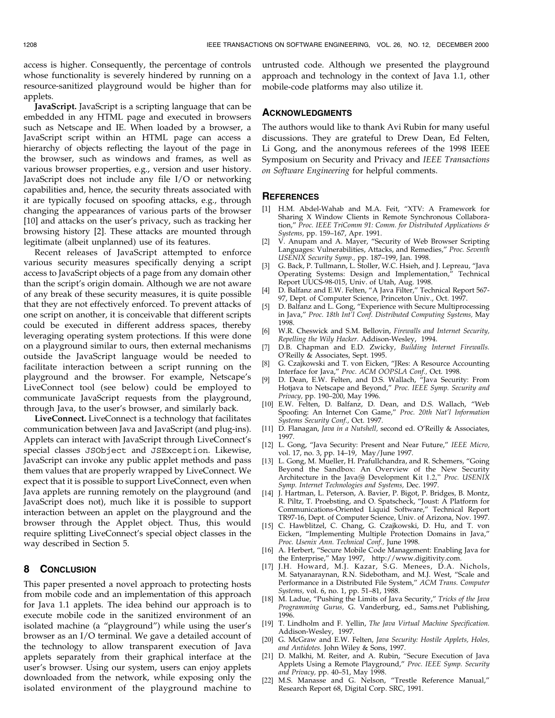access is higher. Consequently, the percentage of controls whose functionality is severely hindered by running on a resource-sanitized playground would be higher than for applets.

JavaScript. JavaScript is a scripting language that can be embedded in any HTML page and executed in browsers such as Netscape and IE. When loaded by a browser, a JavaScript script within an HTML page can access a hierarchy of objects reflecting the layout of the page in the browser, such as windows and frames, as well as various browser properties, e.g., version and user history. JavaScript does not include any file I/O or networking capabilities and, hence, the security threats associated with it are typically focused on spoofing attacks, e.g., through changing the appearances of various parts of the browser [10] and attacks on the user's privacy, such as tracking her browsing history [2]. These attacks are mounted through legitimate (albeit unplanned) use of its features.

Recent releases of JavaScript attempted to enforce various security measures specifically denying a script access to JavaScript objects of a page from any domain other than the script's origin domain. Although we are not aware of any break of these security measures, it is quite possible that they are not effectively enforced. To prevent attacks of one script on another, it is conceivable that different scripts could be executed in different address spaces, thereby leveraging operating system protections. If this were done on a playground similar to ours, then external mechanisms outside the JavaScript language would be needed to facilitate interaction between a script running on the playground and the browser. For example, Netscape's LiveConnect tool (see below) could be employed to communicate JavaScript requests from the playground, through Java, to the user's browser, and similarly back.

LiveConnect. LiveConnect is a technology that facilitates communication between Java and JavaScript (and plug-ins). Applets can interact with JavaScript through LiveConnect's special classes JSObject and JSException. Likewise, JavaScript can invoke any public applet methods and pass them values that are properly wrapped by LiveConnect. We expect that it is possible to support LiveConnect, even when Java applets are running remotely on the playground (and JavaScript does not), much like it is possible to support interaction between an applet on the playground and the browser through the Applet object. Thus, this would require splitting LiveConnect's special object classes in the way described in Section 5.

#### 8 CONCLUSION

This paper presented a novel approach to protecting hosts from mobile code and an implementation of this approach for Java 1.1 applets. The idea behind our approach is to execute mobile code in the sanitized environment of an isolated machine (a "playground") while using the user's browser as an I/O terminal. We gave a detailed account of the technology to allow transparent execution of Java applets separately from their graphical interface at the user's browser. Using our system, users can enjoy applets downloaded from the network, while exposing only the isolated environment of the playground machine to

untrusted code. Although we presented the playground approach and technology in the context of Java 1.1, other mobile-code platforms may also utilize it.

# ACKNOWLEDGMENTS

The authors would like to thank Avi Rubin for many useful discussions. They are grateful to Drew Dean, Ed Felten, Li Gong, and the anonymous referees of the 1998 IEEE Symposium on Security and Privacy and IEEE Transactions on Software Engineering for helpful comments.

#### **REFERENCES**

- [1] H.M. Abdel-Wahab and M.A. Feit, ªXTV: A Framework for Sharing X Window Clients in Remote Synchronous Collaboration," Proc. IEEE TriComm 91: Comm. for Distributed Applications  $\mathcal S$ Systems, pp. 159-167, Apr. 1991.
- [2] V. Anupam and A. Mayer, "Security of Web Browser Scripting Languages: Vulnerabilities, Attacks, and Remedies," Proc. Seventh USENIX Security Symp., pp. 187±199, Jan. 1998.
- [3] G. Back, P. Tullmann, L. Stoller, W.C. Hsieh, and J. Lepreau, ªJava Operating Systems: Design and Implementation," Technical Report UUCS-98-015, Univ. of Utah, Aug. 1998.
- [4] D. Balfanz and E.W. Felten, "A Java Filter," Technical Report 567-97, Dept. of Computer Science, Princeton Univ., Oct. 1997.
- [5] D. Balfanz and L. Gong, ªExperience with Secure Multiprocessing in Java,º Proc. 18th Int'l Conf. Distributed Computing Systems, May 1998.
- [6] W.R. Cheswick and S.M. Bellovin, Firewalls and Internet Security, Repelling the Wily Hacker. Addison-Wesley, 1994.
- [7] D.B. Chapman and E.D. Zwicky, Building Internet Firewalls. O'Reilly & Associates, Sept. 1995.
- [8] G. Czajkowski and T. von Eicken, "JRes: A Resource Accounting Interface for Java," Proc. ACM OOPSLA Conf., Oct. 1998.
- D. Dean, E.W. Felten, and D.S. Wallach, "Java Security: From Hotjava to Netscape and Beyond," Proc. IEEE Symp. Security and Privacy, pp. 190-200, May 1996.
- [10] E.W. Felten, D. Balfanz, D. Dean, and D.S. Wallach, "Web Spoofing: An Internet Con Game," Proc. 20th Nat'l Information Systems Security Conf., Oct. 1997.
- [11] D. Flanagan, Java in a Nutshell, second ed. O'Reilly & Associates, 1997.
- [12] L. Gong, "Java Security: Present and Near Future," IEEE Micro, vol. 17, no. 3, pp. 14-19, May/June 1997.
- L. Gong, M. Mueller, H. Prafullchandra, and R. Schemers, "Going Beyond the Sandbox: An Overview of the New Security Architecture in the Java<sup>®</sup> Development Kit 1.2," Proc. USENIX Symp. Internet Technologies and Systems, Dec. 1997.
- [14] J. Hartman, L. Peterson, A. Bavier, P. Bigot, P. Bridges, B. Montz, R. Piltz, T. Proebsting, and O. Spatscheck, ªJoust: A Platform for Communications-Oriented Liquid Software," Technical Report TR97-16, Dept. of Computer Science, Univ. of Arizona, Nov. 1997.
- [15] C. Hawblitzel, C. Chang, G. Czajkowski, D. Hu, and T. von Eicken, "Implementing Multiple Protection Domains in Java," Proc. Usenix Ann. Technical Conf., June 1998.
- [16] A. Herbert, "Secure Mobile Code Management: Enabling Java for the Enterprise," May 1997, http://www.digitivity.com.
- [17] J.H. Howard, M.J. Kazar, S.G. Menees, D.A. Nichols, M. Satyanaraynan, R.N. Sidebotham, and M.J. West, "Scale and Performance in a Distributed File System," ACM Trans. Computer Systems, vol. 6, no. 1, pp. 51-81, 1988.
- [18] M. Ladue, "Pushing the Limits of Java Security," Tricks of the Java Programming Gurus, G. Vanderburg, ed., Sams.net Publishing, 1996.
- [19] T. Lindholm and F. Yellin, The Java Virtual Machine Specification. Addison-Wesley, 1997.
- [20] G. McGraw and E.W. Felten, Java Security: Hostile Applets, Holes, and Antidotes. John Wiley & Sons, 1997.
- [21] D. Malkhi, M. Reiter, and A. Rubin, "Secure Execution of Java Applets Using a Remote Playground," Proc. IEEE Symp. Security and Privacy,  $pp. 40-51$ , May 1998.
- [22] M.S. Manasse and G. Nelson, "Trestle Reference Manual," Research Report 68, Digital Corp. SRC, 1991.